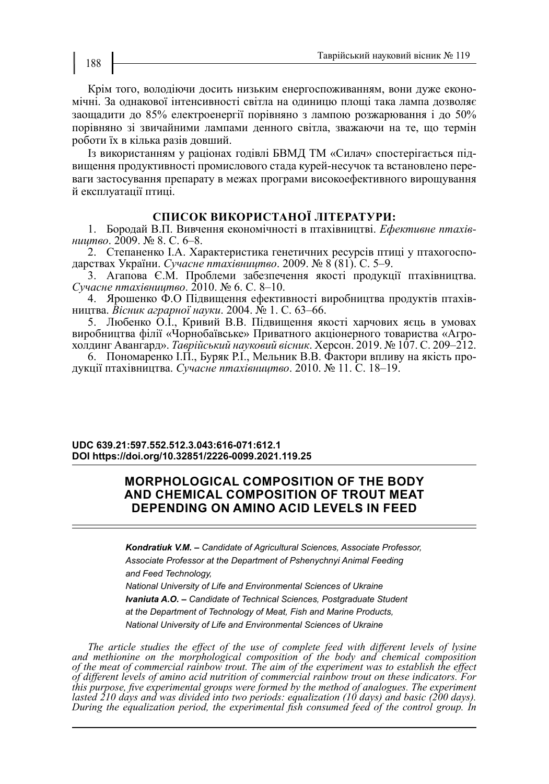Крім того, володіючи досить низьким енергоспоживанням, вони дуже економічні. За однакової інтенсивності світла на одиницю площі така лампа дозволяє заощадити до 85% електроенергії порівняно з лампою розжарювання і до 50% порівняно зі звичайними лампами денного світла, зважаючи на те, що термін роботи їх в кілька разів довший.

Із використанням у раціонах годівлі БВМД ТМ «Силач» спостерігається підвищення продуктивності промислового стада курей-несучок та встановлено переваги застосування препарату в межах програми високоефективного вирощування й експлуатації птиці.

## **СПИСОК ВИКОРИСТАНОЇ ЛІТЕРАТУРИ:**

1. Бородай В.П. Вивчення економічності в птахівництві. *Ефективне птахівництво*. 2009. № 8. С. 6–8.

2. Степаненко І.А. Характеристика генетичних ресурсів птиці у птахогосподарствах України. *Сучасне птахівництво*. 2009. № 8 (81). С. 5–9.

3. Агапова Є.М. Проблеми забезпечення якості продукції птахівництва. *Сучасне птахівництво*. 2010. № 6. С. 8–10.

4. Ярошенко Ф.О Підвищення ефективності виробництва продуктів птахівництва. *Вісник аграрної науки*. 2004. № 1. C. 63–66.

5. Любенко О.І., Кривий В.В. Підвищення якості харчових яєць в умовах виробництва філії «Чорнобаївське» Приватного акціонерного товариства «Агрохолдинг Авангард». *Таврійський науковий вісник*. Херсон. 2019. № 107. С. 209–212.

6. Пономаренко І.П., Буряк Р.І., Мельник В.В. Фактори впливу на якість продукції птахівництва. *Сучасне птахівництво*. 2010. № 11. С. 18–19.

### **UDC 639.21:597.552.512.3.043:616-071:612.1 DOI https://doi.org/10.32851/2226-0099.2021.119.25**

# **MORPHOLOGICAL COMPOSITION OF THE BODY AND CHEMICAL COMPOSITION OF TROUT MEAT DEPENDING ON AMINO ACID LEVELS IN FEED**

*Kondratiuk V.M. – Candidate of Agricultural Sciences, Associate Professor, Associate Professor at the Department of Pshenychnyi Animal Feeding and Feed Technology, National University of Life and Environmental Sciences of Ukraine Ivaniuta A.O. – Candidate of Technical Sciences, Postgraduate Student at the Department of Technology of Meat, Fish and Marine Products, National University of Life and Environmental Sciences of Ukraine*

*The article studies the effect of the use of complete feed with different levels of lysine and methionine on the morphological composition of the body and chemical composition of the meat of commercial rainbow trout. The aim of the experiment was to establish the effect of different levels of amino acid nutrition of commercial rainbow trout on these indicators. For this purpose, five experimental groups were formed by the method of analogues. The experiment lasted 210 days and was divided into two periods: equalization (10 days) and basic (200 days). During the equalization period, the experimental fish consumed feed of the control group. In*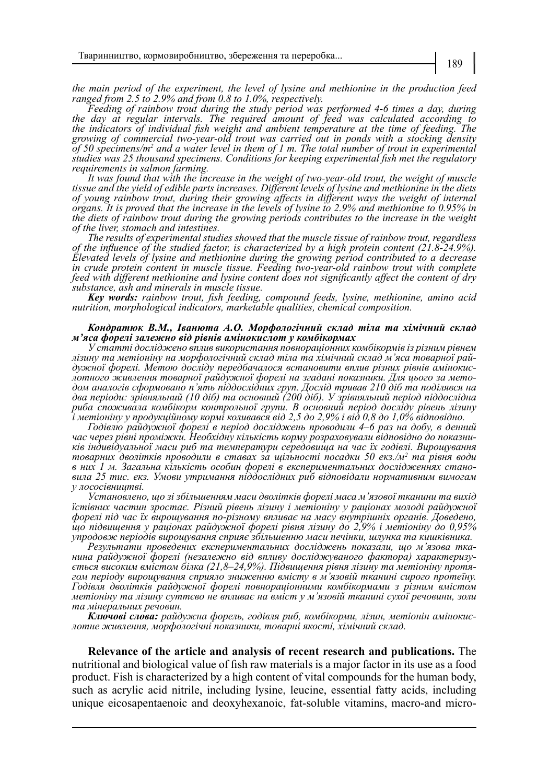*the main period of the experiment, the level of lysine and methionine in the production feed ranged from 2.5 to 2.9% and from 0.8 to 1.0%, respectively.*

*Feeding of rainbow trout during the study period was performed 4-6 times a day, during the day at regular intervals. The required amount of feed was calculated according to the indicators of individual fish weight and ambient temperature at the time of feeding. The growing of commercial two-year-old trout was carried out in ponds with a stocking density*  of 50 specimens/m<sup>2</sup> and a water level in them of 1 m. The total number of trout in experimental *studies was 25 thousand specimens. Conditions for keeping experimental fish met the regulatory requirements in salmon farming.*

*It was found that with the increase in the weight of two-year-old trout, the weight of muscle tissue and the yield of edible parts increases. Different levels of lysine and methionine in the diets of young rainbow trout, during their growing affects in different ways the weight of internal organs. It is proved that the increase in the levels of lysine to 2.9% and methionine to 0.95% in the diets of rainbow trout during the growing periods contributes to the increase in the weight of the liver, stomach and intestines.* 

*The results of experimental studies showed that the muscle tissue of rainbow trout, regardless of the influence of the studied factor, is characterized by a high protein content (21.8-24.9%). Elevated levels of lysine and methionine during the growing period contributed to a decrease in crude protein content in muscle tissue. Feeding two-year-old rainbow trout with complete feed with different methionine and lysine content does not significantly affect the content of dry substance, ash and minerals in muscle tissue.*

*Key words: rainbow trout, fish feeding, compound feeds, lysine, methionine, amino acid nutrition, morphological indicators, marketable qualities, chemical composition.*

#### *Кондратюк В.М., Іванюта А.О. Морфологічний склад тіла та хімічний склад м'яса форелі залежно від рівнів амінокислот у комбікормах*

*У статті досліджено вплив використання повнораціонних комбікормів із різним рівнем*  дужної форелі. Метою досліду передбачалося встановити вплив різних рівнів амінокис-<br>лотного живлення товарної райдужної форелі на згадані показники. Для цього за мето-<br>дом аналогів сформовано п'ять піддослідних груп. Досл *два періоди: зрівняльний (10 діб) та основний (200 діб). У зрівняльний період піддослідна риба споживала комбікорм контрольної групи. В основний період досліду рівень лізину і метіоніну у продукційному кормі коливався від 2,5 до 2,9% і від 0,8 до 1,0% відповідно.*

*Годівлю райдужної форелі в період досліджень проводили 4–6 раз на добу, в денний час через рівні проміжки. Необхідну кількість корму розраховували відповідно до показни- ків індивідуальної маси риб та температури середовища на час їх годівлі. Вирощування товарних дволітків проводили в ставах за щільності посадки 50 екз./м2 та рівня води в них 1 м. Загальна кількість особин форелі в експериментальних дослідженнях стано- вила 25 тис. екз. Умови утримання піддослідних риб відповідали нормативним вимогам у лососівництві.*

*Установлено, що зі збільшенням маси дволітків форелі маса м'язової тканини та вихід їстівних частин зростає. Різний рівень лізину і метіоніну у раціонах молоді райдужної форелі під час їх вирощування по-різному впливає на масу внутрішніх органів. Доведено, що підвищення у раціонах райдужної форелі рівня лізину до 2,9% і метіоніну до 0,95% упродовж періодів вирощування сприяє збільшенню маси печінки, шлунка та кишківника.*

нина райдужної форелі (незалежно від впливу досліджуваного фактора) характеризу-<br>ється високим вмістом білка (21,8–24,9%). Підвищення рівня лізину та метіоніну протя-<br>гом періоду вирощування сприяло зниженню вмісту в м'яз *Годівля дволітків райдужної форелі повнораціонними комбікормами з різним вмістом метіоніну та лізину суттєво не впливає на вміст у м'язовій тканині сухої речовини, золи та мінеральних речовин.*

*Ключові слова: райдужна форель, годівля риб, комбікорми, лізин, метіонін амінокис- лотне живлення, морфологічні показники, товарні якості, хімічний склад.*

**Relevance of the article and analysis of recent research and publications.** The nutritional and biological value of fish raw materials is a major factor in its use as a food product. Fish is characterized by a high content of vital compounds for the human body, such as acrylic acid nitrile, including lysine, leucine, essential fatty acids, including unique eicosapentaenoic and deoxyhexanoic, fat-soluble vitamins, macro-and micro-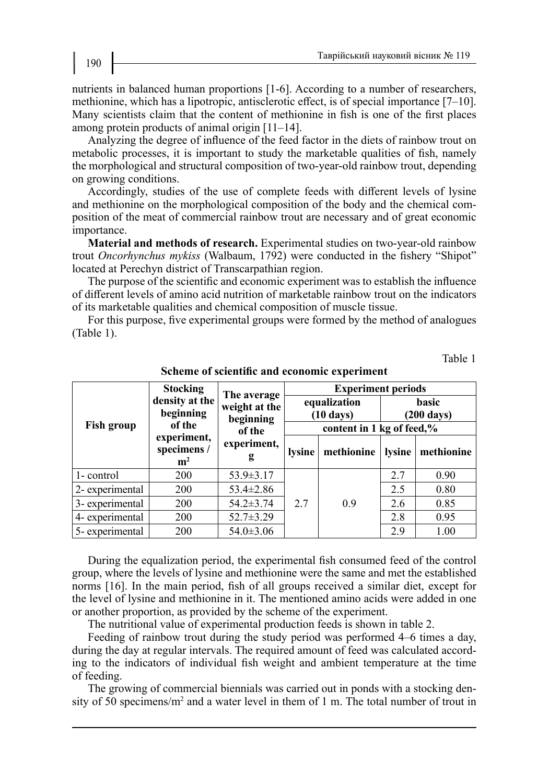nutrients in balanced human proportions [1-6]. According to a number of researchers, methionine, which has a lipotropic, antisclerotic effect, is of special importance [7–10]. Many scientists claim that the content of methionine in fish is one of the first places among protein products of animal origin [11–14].

Analyzing the degree of influence of the feed factor in the diets of rainbow trout on metabolic processes, it is important to study the marketable qualities of fish, namely the morphological and structural composition of two-year-old rainbow trout, depending on growing conditions.

Accordingly, studies of the use of complete feeds with different levels of lysine and methionine on the morphological composition of the body and the chemical composition of the meat of commercial rainbow trout are necessary and of great economic importance.

**Material and methods of research.** Experimental studies on two-year-old rainbow trout *Oncorhynchus mykiss* (Walbaum, 1792) were conducted in the fishery "Shipot" located at Perechyn district of Transcarpathian region.

The purpose of the scientific and economic experiment was to establish the influence of different levels of amino acid nutrition of marketable rainbow trout on the indicators of its marketable qualities and chemical composition of muscle tissue.

For this purpose, five experimental groups were formed by the method of analogues (Table 1).

Table 1

|                 | <b>Stocking</b>                              | The average                                              | <b>Experiment periods</b>           |            |                                      |            |  |
|-----------------|----------------------------------------------|----------------------------------------------------------|-------------------------------------|------------|--------------------------------------|------------|--|
|                 | density at the<br>beginning                  | weight at the<br>beginning<br>of the<br>experiment,<br>g | equalization<br>$(10 \text{ days})$ |            | <b>basic</b><br>$(200 \text{ days})$ |            |  |
| Fish group      | of the                                       |                                                          | content in 1 kg of feed,%           |            |                                      |            |  |
|                 | experiment,<br>specimens /<br>m <sup>2</sup> |                                                          | lysine                              | methionine | lysine                               | methionine |  |
| 1- control      | 200                                          | $53.9 \pm 3.17$                                          |                                     |            | 2.7                                  | 0.90       |  |
| 2- experimental | 200                                          | $53.4 \pm 2.86$                                          |                                     |            | 2.5                                  | 0.80       |  |
| 3- experimental | 200                                          | $54.2 \pm 3.74$                                          | 2.7                                 | 0.9        | 2.6                                  | 0.85       |  |
| 4- experimental | 200                                          | $52.7 \pm 3.29$                                          |                                     |            | 2.8                                  | 0.95       |  |
| 5- experimental | 200                                          | $54.0 \pm 3.06$                                          |                                     |            | 2.9                                  | 1.00       |  |

**Scheme of scientific and economic experiment**

During the equalization period, the experimental fish consumed feed of the control group, where the levels of lysine and methionine were the same and met the established norms [16]. In the main period, fish of all groups received a similar diet, except for the level of lysine and methionine in it. The mentioned amino acids were added in one or another proportion, as provided by the scheme of the experiment.

The nutritional value of experimental production feeds is shown in table 2.

Feeding of rainbow trout during the study period was performed 4–6 times a day, during the day at regular intervals. The required amount of feed was calculated according to the indicators of individual fish weight and ambient temperature at the time of feeding.

The growing of commercial biennials was carried out in ponds with a stocking density of 50 specimens/m<sup>2</sup> and a water level in them of 1 m. The total number of trout in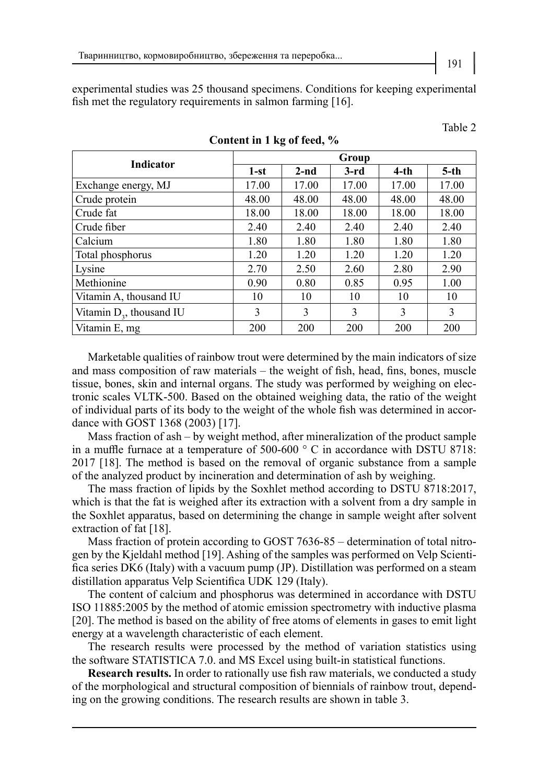experimental studies was 25 thousand specimens. Conditions for keeping experimental fish met the regulatory requirements in salmon farming [16].

| <b>Indicator</b>            | Group  |        |        |         |        |  |  |
|-----------------------------|--------|--------|--------|---------|--------|--|--|
|                             | $1-st$ | $2-nd$ | $3-rd$ | $4$ -th | $5-th$ |  |  |
| Exchange energy, MJ         | 17.00  | 17.00  | 17.00  | 17.00   | 17.00  |  |  |
| Crude protein               | 48.00  | 48.00  | 48.00  | 48.00   | 48.00  |  |  |
| Crude fat                   | 18.00  | 18.00  | 18.00  | 18.00   | 18.00  |  |  |
| Crude fiber                 | 2.40   | 2.40   | 2.40   | 2.40    | 2.40   |  |  |
| Calcium                     | 1.80   | 1.80   | 1.80   | 1.80    | 1.80   |  |  |
| Total phosphorus            | 1.20   | 1.20   | 1.20   | 1.20    | 1.20   |  |  |
| Lysine                      | 2.70   | 2.50   | 2.60   | 2.80    | 2.90   |  |  |
| Methionine                  | 0.90   | 0.80   | 0.85   | 0.95    | 1.00   |  |  |
| Vitamin A, thousand IU      | 10     | 10     | 10     | 10      | 10     |  |  |
| Vitamin $D_3$ , thousand IU | 3      | 3      | 3      | 3       | 3      |  |  |
| Vitamin E, mg               | 200    | 200    | 200    | 200     | 200    |  |  |

**Content in 1 kg of feed, %**

Marketable qualities of rainbow trout were determined by the main indicators of size and mass composition of raw materials – the weight of fish, head, fins, bones, muscle tissue, bones, skin and internal organs. The study was performed by weighing on electronic scales VLTK-500. Based on the obtained weighing data, the ratio of the weight of individual parts of its body to the weight of the whole fish was determined in accordance with GOST 1368 (2003) [17].

Mass fraction of ash – by weight method, after mineralization of the product sample in a muffle furnace at a temperature of 500-600 ° C in accordance with DSTU 8718: 2017 [18]. The method is based on the removal of organic substance from a sample of the analyzed product by incineration and determination of ash by weighing.

The mass fraction of lipids by the Soxhlet method according to DSTU 8718:2017, which is that the fat is weighed after its extraction with a solvent from a dry sample in the Soxhlet apparatus, based on determining the change in sample weight after solvent extraction of fat [18].

Mass fraction of protein according to GOST 7636-85 – determination of total nitrogen by the Kjeldahl method [19]. Ashing of the samples was performed on Velp Scientifica series DK6 (Italy) with a vacuum pump (JP). Distillation was performed on a steam distillation apparatus Velp Scientifica UDK 129 (Italy).

The content of calcium and phosphorus was determined in accordance with DSTU ISO 11885:2005 by the method of atomic emission spectrometry with inductive plasma [20]. The method is based on the ability of free atoms of elements in gases to emit light energy at a wavelength characteristic of each element.

The research results were processed by the method of variation statistics using the software STATISTICA 7.0. and MS Excel using built-in statistical functions.

**Research results.** In order to rationally use fish raw materials, we conducted a study of the morphological and structural composition of biennials of rainbow trout, depending on the growing conditions. The research results are shown in table 3.

Table 2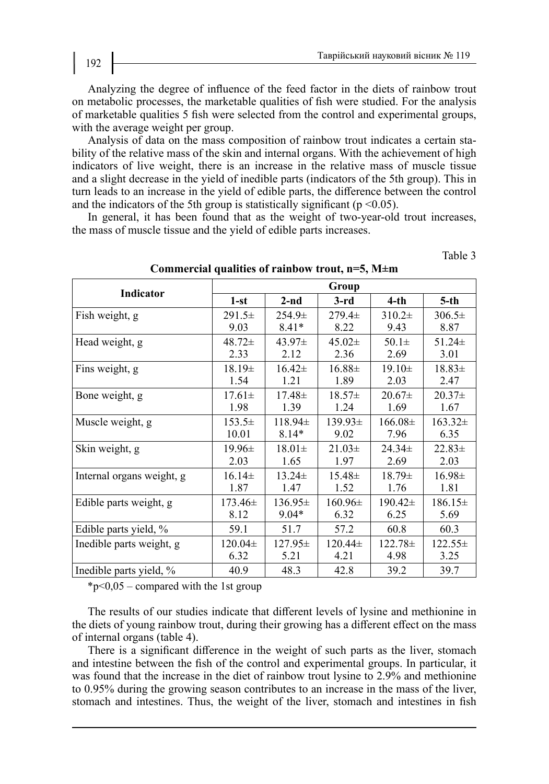Table 3

Analyzing the degree of influence of the feed factor in the diets of rainbow trout on metabolic processes, the marketable qualities of fish were studied. For the analysis of marketable qualities 5 fish were selected from the control and experimental groups, with the average weight per group.

Analysis of data on the mass composition of rainbow trout indicates a certain stability of the relative mass of the skin and internal organs. With the achievement of high indicators of live weight, there is an increase in the relative mass of muscle tissue and a slight decrease in the yield of inedible parts (indicators of the 5th group). This in turn leads to an increase in the yield of edible parts, the difference between the control and the indicators of the 5th group is statistically significant ( $p \le 0.05$ ).

In general, it has been found that as the weight of two-year-old trout increases, the mass of muscle tissue and the yield of edible parts increases.

| Indicator                 | Group       |             |             |              |             |  |  |  |
|---------------------------|-------------|-------------|-------------|--------------|-------------|--|--|--|
|                           | $1-st$      | $2-nd$      | $3-rd$      | $4$ -th      | $5-th$      |  |  |  |
| Fish weight, g            | $291.5\pm$  | $254.9\pm$  | $279.4 \pm$ | $310.2\pm$   | $306.5\pm$  |  |  |  |
|                           | 9.03        | $8.41*$     | 8.22        | 9.43         | 8.87        |  |  |  |
| Head weight, g            | $48.72 \pm$ | $43.97\pm$  | $45.02\pm$  | $50.1 \pm$   | $51.24 \pm$ |  |  |  |
|                           | 2.33        | 2.12        | 2.36        | 2.69         | 3.01        |  |  |  |
| Fins weight, g            | $18.19\pm$  | $16.42\pm$  | $16.88\pm$  | $19.10\pm$   | $18.83\pm$  |  |  |  |
|                           | 1.54        | 1.21        | 1.89        | 2.03         | 2.47        |  |  |  |
| Bone weight, g            | $17.61 \pm$ | $17.48 \pm$ | $18.57\pm$  | $20.67\pm$   | $20.37\pm$  |  |  |  |
|                           | 1.98        | 1.39        | 1.24        | 1.69         | 1.67        |  |  |  |
| Muscle weight, g          | $153.5\pm$  | $118.94\pm$ | $139.93\pm$ | $166.08\pm$  | $163.32\pm$ |  |  |  |
|                           | 10.01       | $8.14*$     | 9.02        | 7.96         | 6.35        |  |  |  |
| Skin weight, g            | $19.96\pm$  | $18.01\pm$  | $21.03\pm$  | $24.34 \pm$  | $22.83 \pm$ |  |  |  |
|                           | 2.03        | 1.65        | 1.97        | 2.69         | 2.03        |  |  |  |
| Internal organs weight, g | $16.14\pm$  | $13.24 \pm$ | $15.48\pm$  | $18.79\pm$   | $16.98\pm$  |  |  |  |
|                           | 1.87        | 1.47        | 1.52        | 1.76         | 1.81        |  |  |  |
| Edible parts weight, g    | 173.46±     | $136.95\pm$ | $160.96\pm$ | 190.42±      | $186.15\pm$ |  |  |  |
|                           | 8.12        | $9.04*$     | 6.32        | 6.25         | 5.69        |  |  |  |
| Edible parts yield, %     | 59.1        | 51.7        | 57.2        | 60.8         | 60.3        |  |  |  |
| Inedible parts weight, g  | 120.04±     | $127.95\pm$ | $120.44\pm$ | $122.78 \pm$ | $122.55\pm$ |  |  |  |
|                           | 6.32        | 5.21        | 4.21        | 4.98         | 3.25        |  |  |  |
| Inedible parts yield, %   | 40.9        | 48.3        | 42.8        | 39.2         | 39.7        |  |  |  |

**Commercial qualities of rainbow trout, n=5, М±m**

 $*_{p<0,05}$  – compared with the 1st group

The results of our studies indicate that different levels of lysine and methionine in the diets of young rainbow trout, during their growing has a different effect on the mass of internal organs (table 4).

There is a significant difference in the weight of such parts as the liver, stomach and intestine between the fish of the control and experimental groups. In particular, it was found that the increase in the diet of rainbow trout lysine to 2.9% and methionine to 0.95% during the growing season contributes to an increase in the mass of the liver, stomach and intestines. Thus, the weight of the liver, stomach and intestines in fish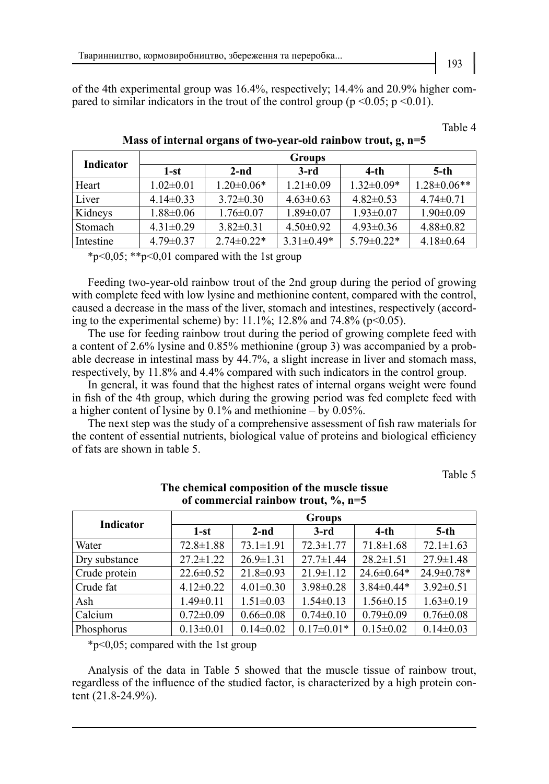of the 4th experimental group was 16.4%, respectively; 14.4% and 20.9% higher compared to similar indicators in the trout of the control group ( $p \le 0.05$ ;  $p \le 0.01$ ).

| Indicator | Groups          |                   |                 |                   |                    |  |  |
|-----------|-----------------|-------------------|-----------------|-------------------|--------------------|--|--|
|           | 1-st            | $2-nd$            | $3-rd$          | $4$ -th           | $5$ -th            |  |  |
| Heart     | $1.02 \pm 0.01$ | $1.20 \pm 0.06*$  | $1.21 \pm 0.09$ | $1.32 \pm 0.09*$  | $1.28 \pm 0.06$ ** |  |  |
| Liver     | $4.14\pm0.33$   | $3.72 \pm 0.30$   | $4.63 \pm 0.63$ | $4.82\pm0.53$     | $4.74 \pm 0.71$    |  |  |
| Kidneys   | $1.88 \pm 0.06$ | $1.76 \pm 0.07$   | $1.89 \pm 0.07$ | $1.93 \pm 0.07$   | $1.90 \pm 0.09$    |  |  |
| Stomach   | $4.31 \pm 0.29$ | $3.82\pm0.31$     | $4.50\pm0.92$   | $4.93 \pm 0.36$   | $4.88 \pm 0.82$    |  |  |
| Intestine | $4.79 \pm 0.37$ | $2.74 \pm 0.22$ * | $3.31\pm0.49*$  | $5.79 \pm 0.22$ * | $4.18 \pm 0.64$    |  |  |

**Mass of internal organs of two-year-old rainbow trout, g, n=5**

\*p<0,05; \*\*p<0,01 compared with the 1st group

Feeding two-year-old rainbow trout of the 2nd group during the period of growing with complete feed with low lysine and methionine content, compared with the control, caused a decrease in the mass of the liver, stomach and intestines, respectively (according to the experimental scheme) by:  $11.1\%$ ;  $12.8\%$  and  $74.8\%$  (p<0.05).

The use for feeding rainbow trout during the period of growing complete feed with a content of 2.6% lysine and 0.85% methionine (group 3) was accompanied by a probable decrease in intestinal mass by 44.7%, a slight increase in liver and stomach mass, respectively, by 11.8% and 4.4% compared with such indicators in the control group.

In general, it was found that the highest rates of internal organs weight were found in fish of the 4th group, which during the growing period was fed complete feed with a higher content of lysine by 0.1% and methionine – by 0.05%.

The next step was the study of a comprehensive assessment of fish raw materials for the content of essential nutrients, biological value of proteins and biological efficiency of fats are shown in table 5.

Table 5

| <b>Indicator</b> | <b>Groups</b>   |                 |                  |                  |                 |  |  |  |
|------------------|-----------------|-----------------|------------------|------------------|-----------------|--|--|--|
|                  | $1-st$          | $2-nd$          | $3-rd$           | $4-th$           | $5-th$          |  |  |  |
| Water            | $72.8 \pm 1.88$ | $73.1 \pm 1.91$ | $72.3 \pm 1.77$  | $71.8 \pm 1.68$  | $72.1 \pm 1.63$ |  |  |  |
| Dry substance    | $27.2 \pm 1.22$ | $26.9 \pm 1.31$ | $27.7 \pm 1.44$  | $28.2 \pm 1.51$  | $27.9 \pm 1.48$ |  |  |  |
| Crude protein    | $22.6 \pm 0.52$ | $21.8 \pm 0.93$ | $21.9 \pm 1.12$  | $24.6 \pm 0.64*$ | 24.9±0.78*      |  |  |  |
| Crude fat        | $4.12\pm0.22$   | $4.01 \pm 0.30$ | $3.98 \pm 0.28$  | $3.84\pm0.44*$   | $3.92 \pm 0.51$ |  |  |  |
| Ash              | $1.49 \pm 0.11$ | $1.51 \pm 0.03$ | $1.54 \pm 0.13$  | $1.56 \pm 0.15$  | $1.63 \pm 0.19$ |  |  |  |
| Calcium          | $0.72 \pm 0.09$ | $0.66 \pm 0.08$ | $0.74 \pm 0.10$  | $0.79 \pm 0.09$  | $0.76 \pm 0.08$ |  |  |  |
| Phosphorus       | $0.13 \pm 0.01$ | $0.14 \pm 0.02$ | $0.17 \pm 0.01*$ | $0.15 \pm 0.02$  | $0.14 \pm 0.03$ |  |  |  |

### **The chemical composition of the muscle tissue of commercial rainbow trout, %, n=5**

\*р<0,05; compared with the 1st group

Analysis of the data in Table 5 showed that the muscle tissue of rainbow trout, regardless of the influence of the studied factor, is characterized by a high protein content (21.8-24.9%).

Table 4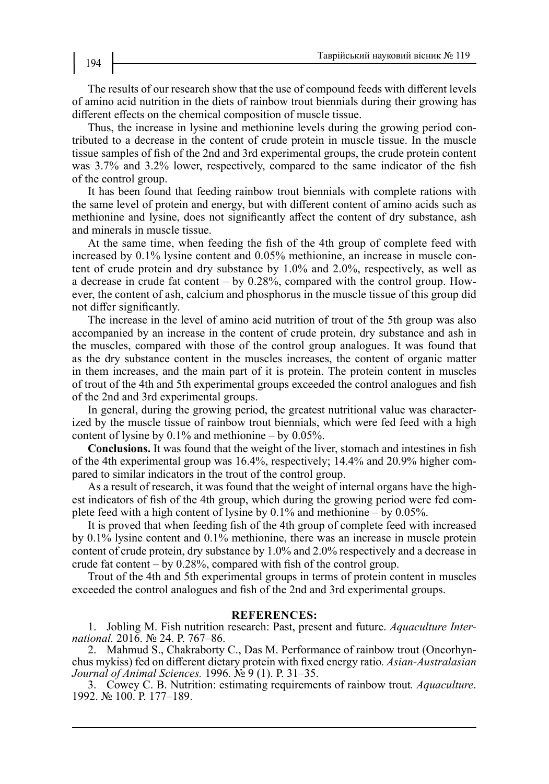The results of our research show that the use of compound feeds with different levels of amino acid nutrition in the diets of rainbow trout biennials during their growing has different effects on the chemical composition of muscle tissue.

Thus, the increase in lysine and methionine levels during the growing period contributed to a decrease in the content of crude protein in muscle tissue. In the muscle tissue samples of fish of the 2nd and 3rd experimental groups, the crude protein content was 3.7% and 3.2% lower, respectively, compared to the same indicator of the fish of the control group.

It has been found that feeding rainbow trout biennials with complete rations with the same level of protein and energy, but with different content of amino acids such as methionine and lysine, does not significantly affect the content of dry substance, ash and minerals in muscle tissue.

At the same time, when feeding the fish of the 4th group of complete feed with increased by 0.1% lysine content and 0.05% methionine, an increase in muscle content of crude protein and dry substance by 1.0% and 2.0%, respectively, as well as a decrease in crude fat content – by 0.28%, compared with the control group. However, the content of ash, calcium and phosphorus in the muscle tissue of this group did not differ significantly.

The increase in the level of amino acid nutrition of trout of the 5th group was also accompanied by an increase in the content of crude protein, dry substance and ash in the muscles, compared with those of the control group analogues. It was found that as the dry substance content in the muscles increases, the content of organic matter in them increases, and the main part of it is protein. The protein content in muscles of trout of the 4th and 5th experimental groups exceeded the control analogues and fish of the 2nd and 3rd experimental groups.

In general, during the growing period, the greatest nutritional value was characterized by the muscle tissue of rainbow trout biennials, which were fed feed with a high content of lysine by 0.1% and methionine – by 0.05%.

**Conclusions.** It was found that the weight of the liver, stomach and intestines in fish of the 4th experimental group was 16.4%, respectively; 14.4% and 20.9% higher compared to similar indicators in the trout of the control group.

As a result of research, it was found that the weight of internal organs have the highest indicators of fish of the 4th group, which during the growing period were fed complete feed with a high content of lysine by 0.1% and methionine – by 0.05%.

It is proved that when feeding fish of the 4th group of complete feed with increased by 0.1% lysine content and 0.1% methionine, there was an increase in muscle protein content of crude protein, dry substance by 1.0% and 2.0% respectively and a decrease in crude fat content – by 0.28%, compared with fish of the control group.

Trout of the 4th and 5th experimental groups in terms of protein content in muscles exceeded the control analogues and fish of the 2nd and 3rd experimental groups.

### **REFERENCES:**

1. Jobling M. Fish nutrition research: Past, present and future. *Aquaculture Inter- national.* 2016. № 24. Р. 767–86.

2. Mahmud S., Chakraborty С., Das M. Performance of rainbow trout (Oncorhyn- chus mykiss) fed on different dietary protein with fixed energy ratio*. Asian-Australasian Journal of Animal Sciences.* 1996. № 9 (1). Р. 31–35.

3. Cowey C. B. Nutrition: estimating requirements of rainbow trout*. Aquaculture*. 1992. № 100. Р. 177–189.